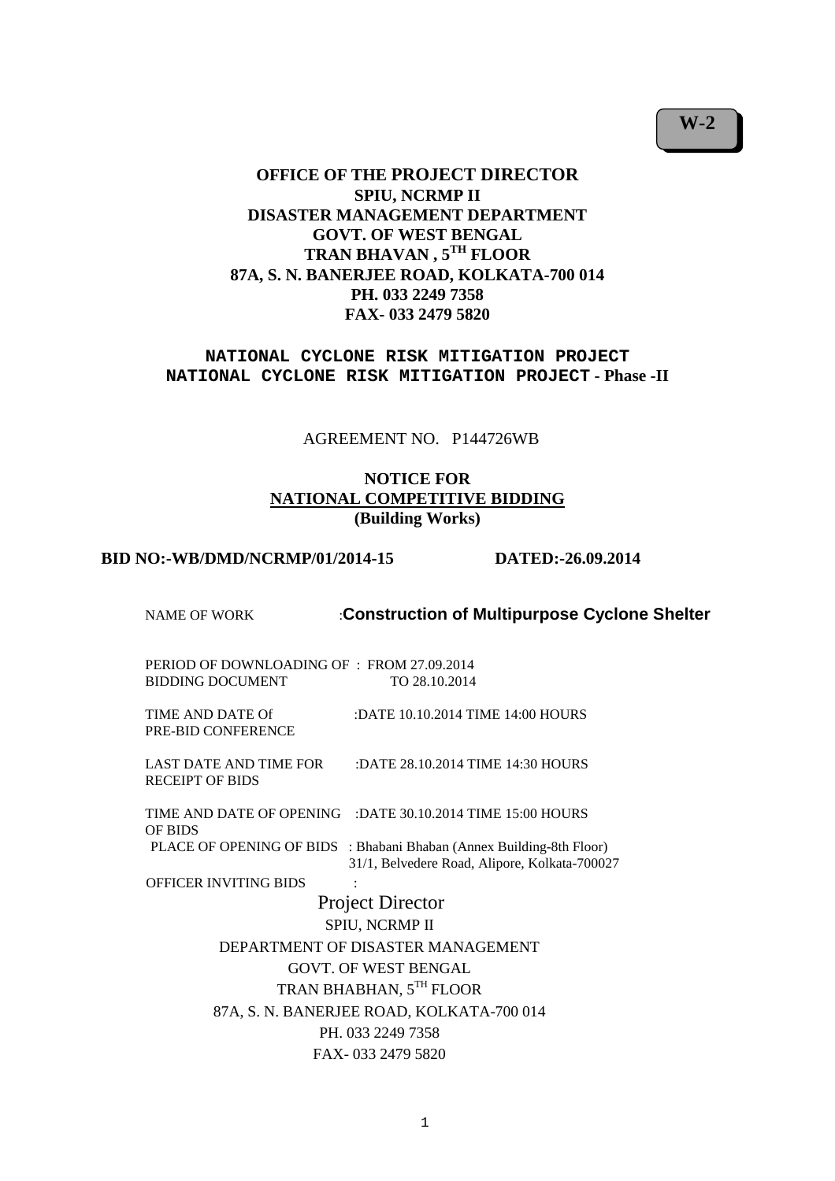# **OFFICE OF THE PROJECT DIRECTOR SPIU, NCRMP II DISASTER MANAGEMENT DEPARTMENT GOVT. OF WEST BENGAL TRAN BHAVAN , 5TH FLOOR 87A, S. N. BANERJEE ROAD, KOLKATA-700 014 PH. 033 2249 7358 FAX- 033 2479 5820**

**NATIONAL CYCLONE RISK MITIGATION PROJECT NATIONAL CYCLONE RISK MITIGATION PROJECT - Phase -II** 

AGREEMENT NO. P144726WB

# **NOTICE FOR NATIONAL COMPETITIVE BIDDING (Building Works)**

#### **BID NO:-WB/DMD/NCRMP/01/2014-15 DATED:-26.09.2014**

| <b>NAME OF WORK</b>                                                   | :Construction of Multipurpose Cyclone Shelter                                                                                                                                        |
|-----------------------------------------------------------------------|--------------------------------------------------------------------------------------------------------------------------------------------------------------------------------------|
| PERIOD OF DOWNLOADING OF : FROM 27.09.2014<br><b>BIDDING DOCUMENT</b> | TO 28.10.2014                                                                                                                                                                        |
| TIME AND DATE Of<br>PRE-BID CONFERENCE                                | :DATE 10.10.2014 TIME 14:00 HOURS                                                                                                                                                    |
| LAST DATE AND TIME FOR<br><b>RECEIPT OF BIDS</b>                      | :DATE 28.10.2014 TIME 14:30 HOURS                                                                                                                                                    |
| <b>OF BIDS</b>                                                        | TIME AND DATE OF OPENING : DATE 30.10.2014 TIME 15:00 HOURS<br>PLACE OF OPENING OF BIDS : Bhabani Bhaban (Annex Building-8th Floor)<br>31/1, Belvedere Road, Alipore, Kolkata-700027 |
| <b>OFFICER INVITING BIDS</b>                                          |                                                                                                                                                                                      |
|                                                                       | <b>Project Director</b>                                                                                                                                                              |
|                                                                       | SPIU, NCRMP II                                                                                                                                                                       |
|                                                                       | DEPARTMENT OF DISASTER MANAGEMENT                                                                                                                                                    |
|                                                                       | <b>GOVT. OF WEST BENGAL</b>                                                                                                                                                          |
|                                                                       | TRAN BHABHAN, 5TH FLOOR                                                                                                                                                              |
|                                                                       | 87A, S. N. BANERJEE ROAD, KOLKATA-700 014                                                                                                                                            |
|                                                                       | PH. 033 2249 7358                                                                                                                                                                    |
|                                                                       | FAX-033 2479 5820                                                                                                                                                                    |
|                                                                       |                                                                                                                                                                                      |

**W-2**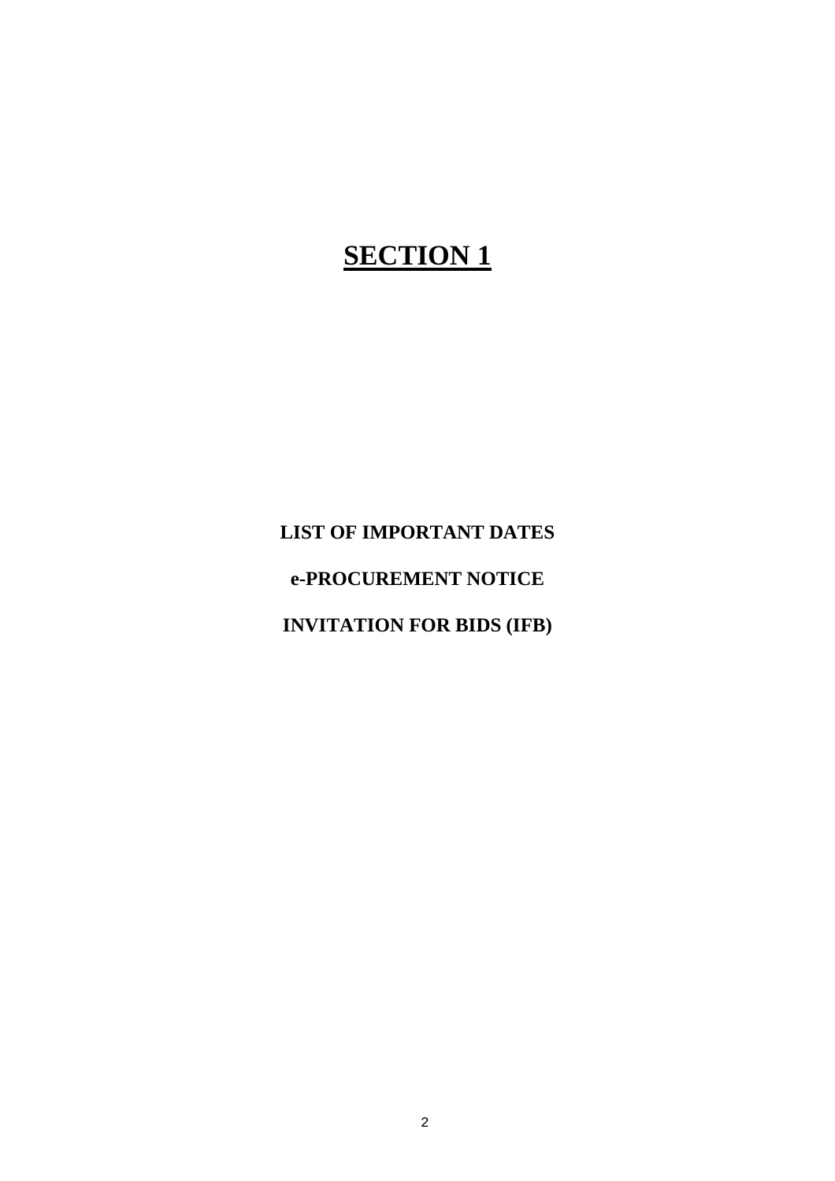# **SECTION 1**

**LIST OF IMPORTANT DATES** 

**e-PROCUREMENT NOTICE** 

**INVITATION FOR BIDS (IFB)**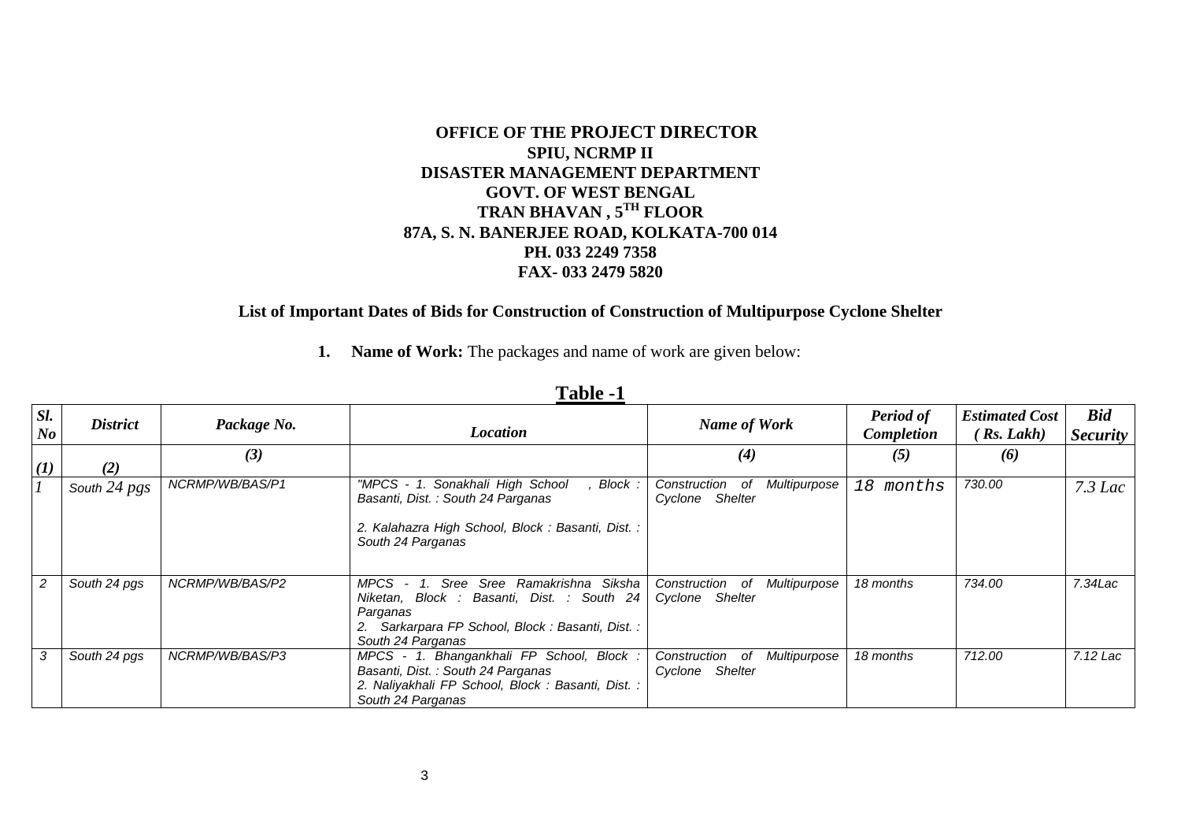# **OFFICE OF THE PROJECT DIRECTORSPIU, NCRMP II DISASTER MANAGEMENT DEPARTMENT GOVT. OF WEST BENGAL TRAN BHAVAN , 5TH FLOOR 87A, S. N. BANERJEE ROAD, KOLKATA-700 014 PH. 033 2249 7358 FAX- 033 2479 5820**

# **List of Important Dates of Bids for Construction of Construction of Multipurpose Cyclone Shelter**

 **1. Name of Work:** The packages and name of work are given below:

| Sl.<br>$\bm{N}\bm{o}$ | <b>District</b> | Package No.     | <b>Location</b>                                                                                                                                                               | <b>Name of Work</b>                                               | <b>Period of</b><br>Completion | <b>Estimated Cost</b><br>(Ks, Lakh) | <b>Bid</b><br><i>Security</i> |
|-----------------------|-----------------|-----------------|-------------------------------------------------------------------------------------------------------------------------------------------------------------------------------|-------------------------------------------------------------------|--------------------------------|-------------------------------------|-------------------------------|
| $\mathcal{L}(I)$      | (2)             | (3)             |                                                                                                                                                                               | $\boldsymbol{r}(4)$                                               | (5)                            | (6)                                 |                               |
|                       | South 24 pgs    | NCRMP/WB/BAS/P1 | "MPCS - 1. Sonakhali High School<br>Block :<br>Basanti, Dist.: South 24 Parganas<br>2. Kalahazra High School, Block: Basanti, Dist.:<br>South 24 Parganas                     | Multipurpose<br>Construction<br>of<br>Shelter<br>Cyclone          | 18 months                      | 730.00                              | $7.3$ Lac                     |
| 2                     | South 24 pgs    | NCRMP/WB/BAS/P2 | Siksha<br>Sree<br>Sree Ramakrishna<br>MPCS.<br>Niketan, Block : Basanti, Dist. : South 24<br>Parganas<br>2. Sarkarpara FP School, Block: Basanti, Dist.:<br>South 24 Parganas | Construction<br>Multipurpose<br>- of<br><b>Shelter</b><br>Cyclone | 18 months                      | 734.00                              | $7.34$ Lac                    |
| 3                     | South 24 pgs    | NCRMP/WB/BAS/P3 | MPCS - 1. Bhangankhali FP School, Block :<br>Basanti, Dist. : South 24 Parganas<br>2. Naliyakhali FP School, Block: Basanti, Dist.:<br>South 24 Parganas                      | Construction of<br>Multipurpose<br>Shelter<br>Cyclone             | 18 months                      | 712.00                              | 7.12 Lac                      |

# **Table -1**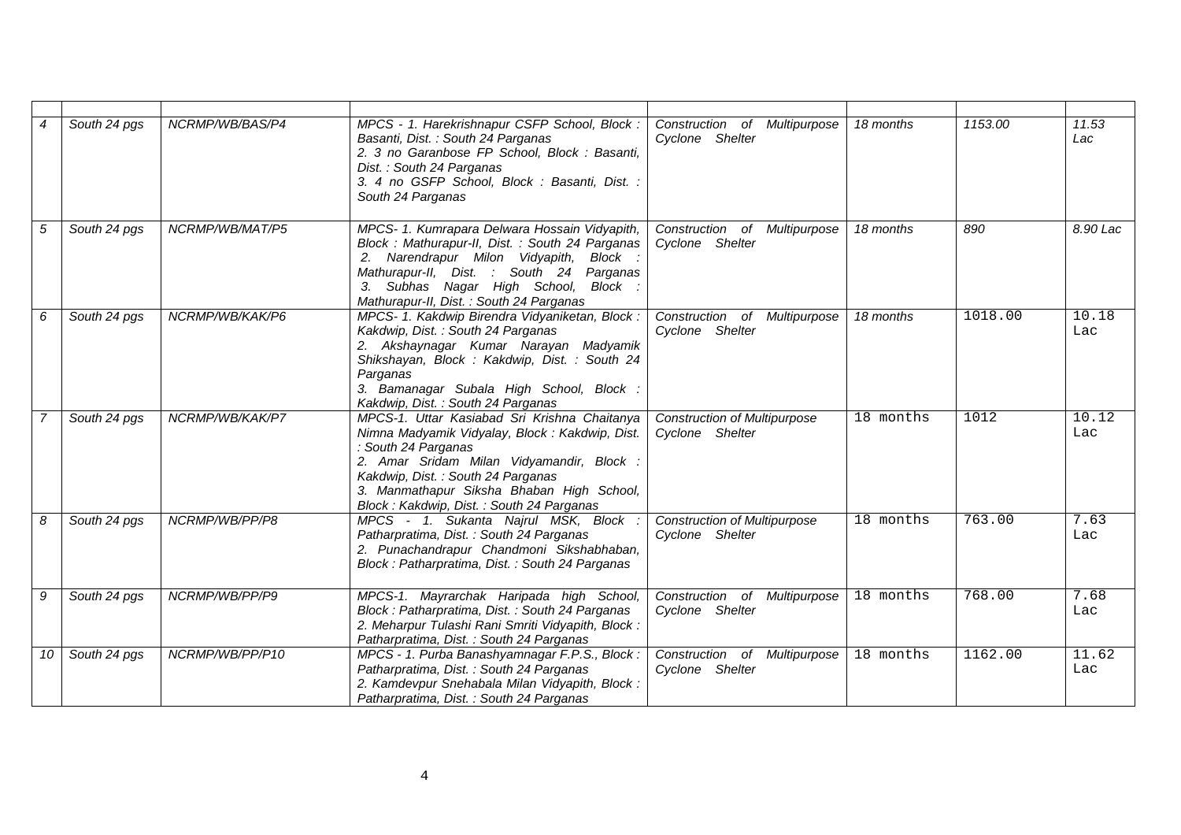| $\overline{4}$ | South 24 pgs | NCRMP/WB/BAS/P4 | MPCS - 1. Harekrishnapur CSFP School, Block:<br>Basanti, Dist. : South 24 Parganas<br>2. 3 no Garanbose FP School, Block : Basanti,<br>Dist.: South 24 Parganas<br>3. 4 no GSFP School, Block: Basanti, Dist.:<br>South 24 Parganas                                                              | Construction of Multipurpose<br>Cyclone Shelter        | 18 months   | 1153.00 | 11.53<br>Lac |
|----------------|--------------|-----------------|--------------------------------------------------------------------------------------------------------------------------------------------------------------------------------------------------------------------------------------------------------------------------------------------------|--------------------------------------------------------|-------------|---------|--------------|
| 5              | South 24 pgs | NCRMP/WB/MAT/P5 | MPCS- 1. Kumrapara Delwara Hossain Vidyapith,<br>Block: Mathurapur-II, Dist.: South 24 Parganas<br>2. Narendrapur Milon Vidyapith, Block :<br>Mathurapur-II, Dist. : South 24 Parganas<br>Subhas Nagar High School, Block :<br>3.<br>Mathurapur-II, Dist. : South 24 Parganas                    | Construction of Multipurpose<br>Cyclone Shelter        | 18 months   | 890     | 8.90 Lac     |
| 6              | South 24 pgs | NCRMP/WB/KAK/P6 | MPCS- 1. Kakdwip Birendra Vidyaniketan, Block:<br>Kakdwip, Dist.: South 24 Parganas<br>2. Akshaynagar Kumar Narayan Madyamik<br>Shikshayan, Block: Kakdwip, Dist.: South 24<br>Parganas<br>3. Bamanagar Subala High School, Block :<br>Kakdwip, Dist.: South 24 Parganas                         | Construction of Multipurpose<br>Cyclone Shelter        | 18 months   | 1018.00 | 10.18<br>Lac |
| $\overline{7}$ | South 24 pgs | NCRMP/WB/KAK/P7 | MPCS-1. Uttar Kasiabad Sri Krishna Chaitanya<br>Nimna Madyamik Vidyalay, Block: Kakdwip, Dist.<br>: South 24 Parganas<br>2. Amar Sridam Milan Vidyamandir, Block :<br>Kakdwip, Dist.: South 24 Parganas<br>3. Manmathapur Siksha Bhaban High School,<br>Block: Kakdwip, Dist.: South 24 Parganas | <b>Construction of Multipurpose</b><br>Cyclone Shelter | $18$ months | 1012    | 10.12<br>Lac |
| 8              | South 24 pgs | NCRMP/WB/PP/P8  | MPCS - 1. Sukanta Najrul MSK, Block<br>Patharpratima, Dist.: South 24 Parganas<br>2. Punachandrapur Chandmoni Sikshabhaban,<br>Block: Patharpratima, Dist.: South 24 Parganas                                                                                                                    | <b>Construction of Multipurpose</b><br>Cyclone Shelter | 18 months   | 763.00  | 7.63<br>Lac  |
| 9              | South 24 pgs | NCRMP/WB/PP/P9  | MPCS-1. Mayrarchak Haripada high School,<br>Block: Patharpratima, Dist.: South 24 Parganas<br>2. Meharpur Tulashi Rani Smriti Vidyapith, Block:<br>Patharpratima, Dist.: South 24 Parganas                                                                                                       | Construction of Multipurpose<br>Cyclone Shelter        | 18 months   | 768.00  | 7.68<br>Lac  |
| 10             | South 24 pgs | NCRMP/WB/PP/P10 | MPCS - 1. Purba Banashyamnagar F.P.S., Block:<br>Patharpratima, Dist.: South 24 Parganas<br>2. Kamdevpur Snehabala Milan Vidyapith, Block :<br>Patharpratima, Dist.: South 24 Parganas                                                                                                           | Construction of Multipurpose<br>Cyclone Shelter        | 18 months   | 1162.00 | 11.62<br>Lac |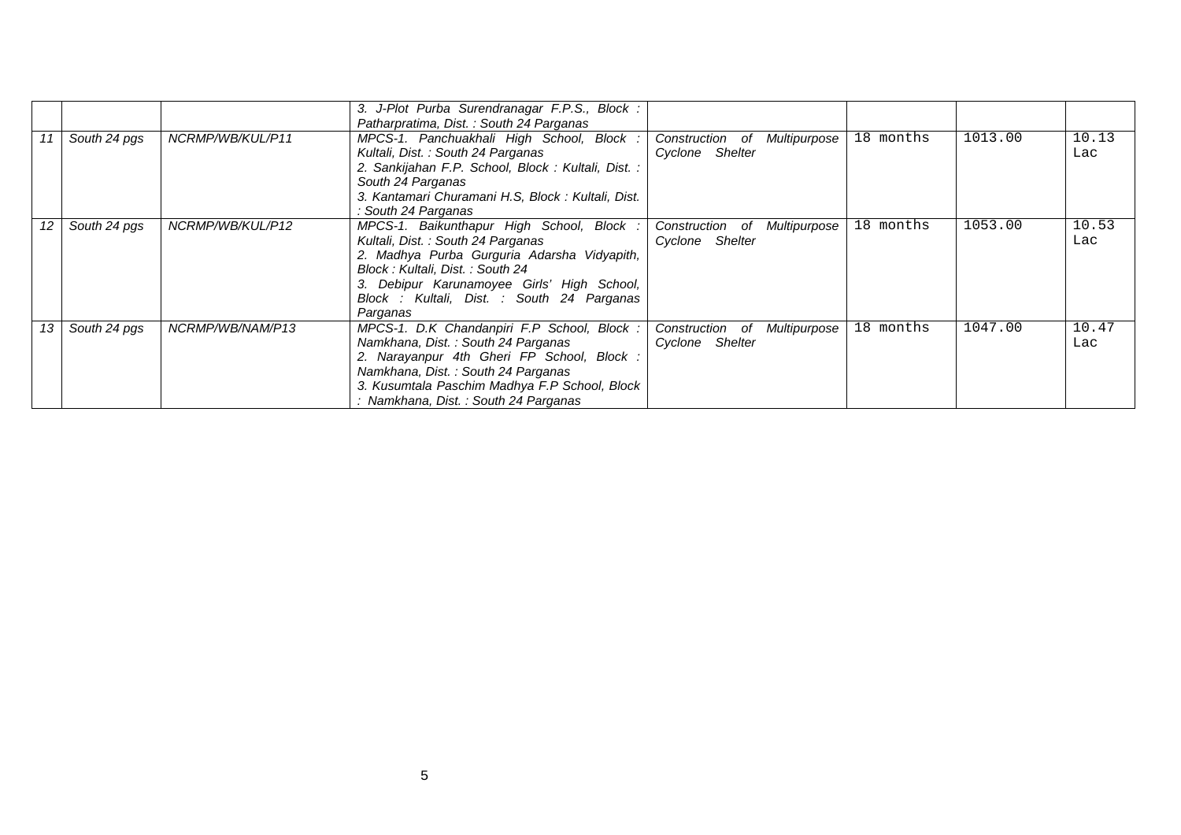|                   |              |                  | 3. J-Plot Purba Surendranagar F.P.S., Block :<br>Patharpratima, Dist.: South 24 Parganas                                                                                                                                                                                 |                                                    |           |         |              |
|-------------------|--------------|------------------|--------------------------------------------------------------------------------------------------------------------------------------------------------------------------------------------------------------------------------------------------------------------------|----------------------------------------------------|-----------|---------|--------------|
| 11                | South 24 pgs | NCRMP/WB/KUL/P11 | MPCS-1. Panchuakhali High School, Block :<br>Kultali, Dist.: South 24 Parganas<br>2. Sankijahan F.P. School, Block: Kultali, Dist.:<br>South 24 Parganas<br>3. Kantamari Churamani H.S, Block: Kultali, Dist.<br>: South 24 Parganas                                     | Construction of<br>Multipurpose<br>Cyclone Shelter | 18 months | 1013.00 | 10.13<br>Lac |
| $12 \overline{ }$ | South 24 pgs | NCRMP/WB/KUL/P12 | MPCS-1. Baikunthapur High School, Block :<br>Kultali, Dist.: South 24 Parganas<br>2. Madhya Purba Gurguria Adarsha Vidyapith,<br>Block: Kultali, Dist.: South 24<br>3. Debipur Karunamoyee Girls' High School,<br>Block : Kultali, Dist. : South 24 Parganas<br>Parganas | Construction of<br>Multipurpose<br>Cyclone Shelter | 18 months | 1053.00 | 10.53<br>Lac |
| 13                | South 24 pgs | NCRMP/WB/NAM/P13 | MPCS-1. D.K Chandanpiri F.P School, Block:<br>Namkhana, Dist.: South 24 Parganas<br>2. Narayanpur 4th Gheri FP School, Block :<br>Namkhana, Dist.: South 24 Parganas<br>3. Kusumtala Paschim Madhya F.P School, Block<br>: Namkhana, Dist. : South 24 Parganas           | Construction of<br>Multipurpose<br>Cyclone Shelter | 18 months | 1047.00 | 10.47<br>Lac |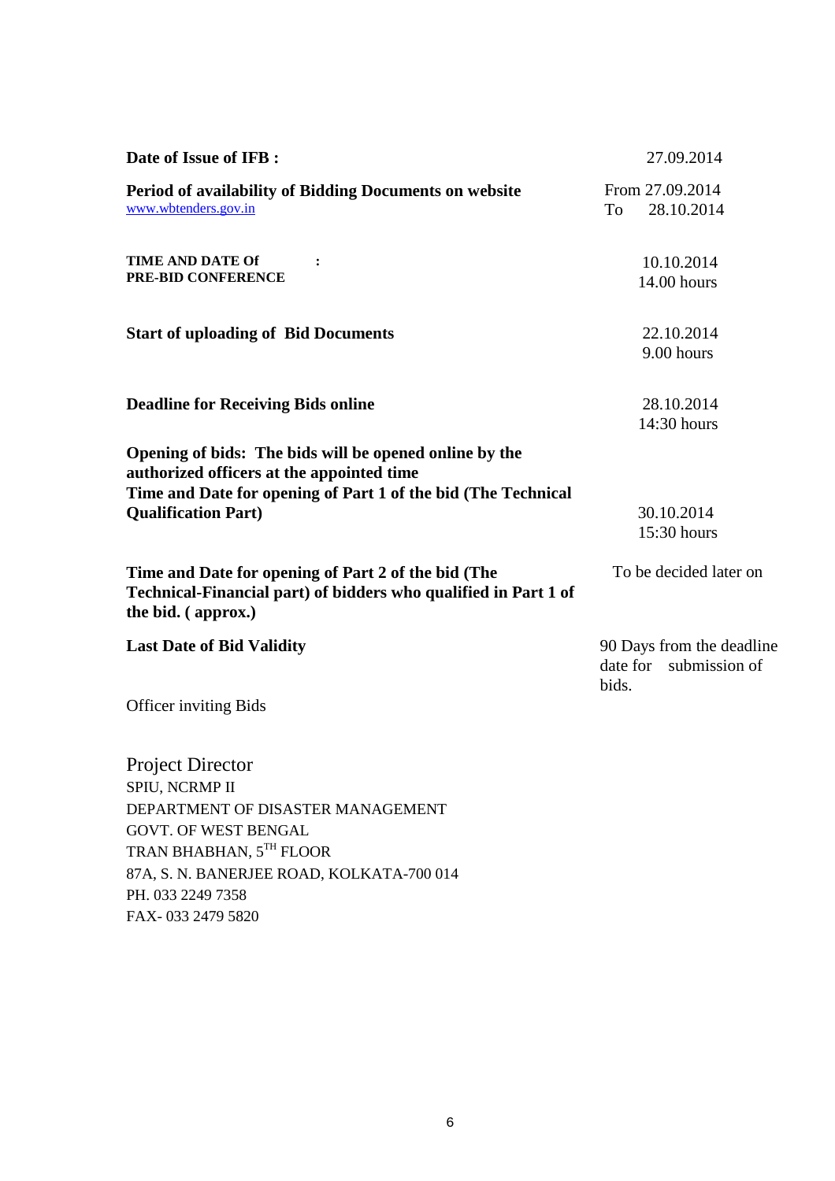| To                | From 27.09.2014<br>28.10.2014<br>10.10.2014<br>14.00 hours |
|-------------------|------------------------------------------------------------|
|                   |                                                            |
|                   |                                                            |
|                   | 22.10.2014<br>9.00 hours                                   |
|                   | 28.10.2014<br>14:30 hours                                  |
|                   | 30.10.2014<br>15:30 hours                                  |
|                   | To be decided later on                                     |
| date for<br>bids. | 90 Days from the deadline<br>submission of                 |
|                   |                                                            |
|                   |                                                            |
|                   |                                                            |

FAX- 033 2479 5820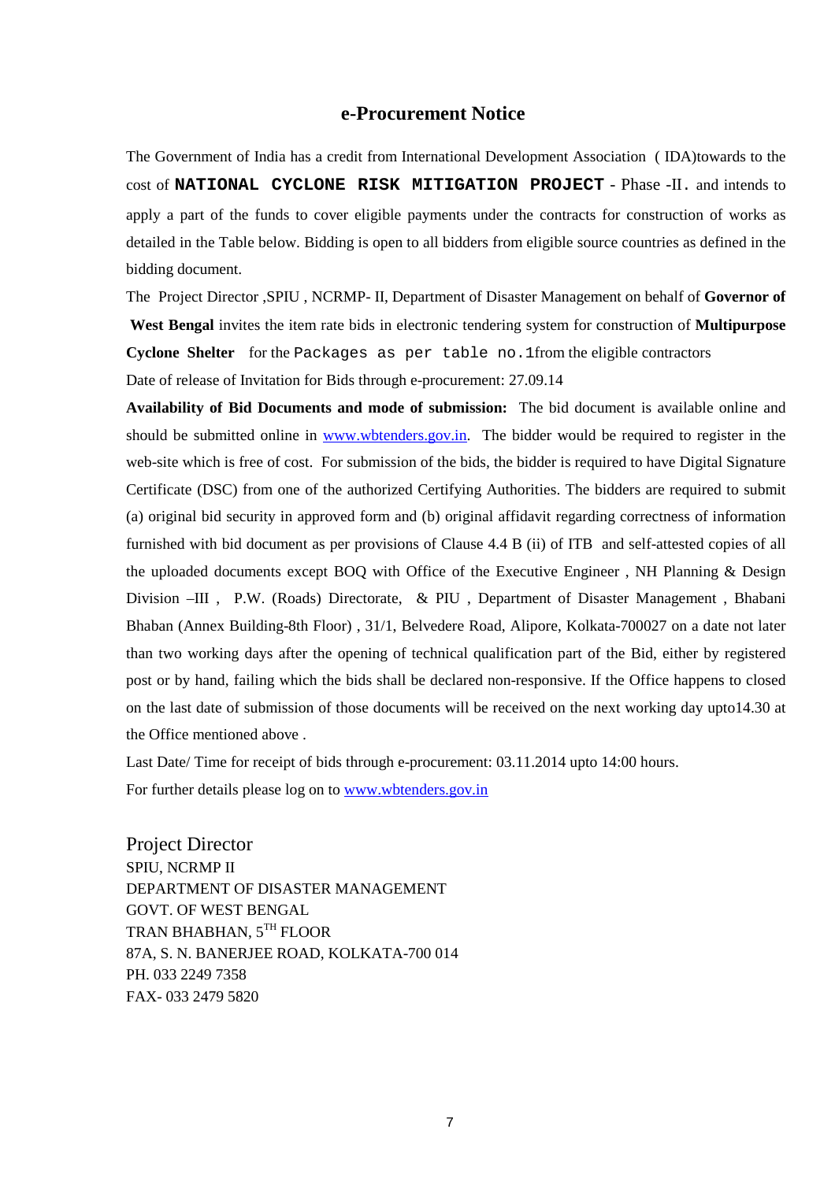### **e-Procurement Notice**

The Government of India has a credit from International Development Association ( IDA)towards to the cost of **NATIONAL CYCLONE RISK MITIGATION PROJECT** - Phase -II. and intends to apply a part of the funds to cover eligible payments under the contracts for construction of works as detailed in the Table below. Bidding is open to all bidders from eligible source countries as defined in the bidding document.

The Project Director ,SPIU , NCRMP- II, Department of Disaster Management on behalf of **Governor of West Bengal** invites the item rate bids in electronic tendering system for construction of **Multipurpose Cyclone Shelter** for the Packages as per table no.1from the eligible contractors Date of release of Invitation for Bids through e-procurement: 27.09.14

**Availability of Bid Documents and mode of submission:** The bid document is available online and should be submitted online in www.wbtenders.gov.in. The bidder would be required to register in the web-site which is free of cost. For submission of the bids, the bidder is required to have Digital Signature Certificate (DSC) from one of the authorized Certifying Authorities. The bidders are required to submit (a) original bid security in approved form and (b) original affidavit regarding correctness of information furnished with bid document as per provisions of Clause 4.4 B (ii) of ITB and self-attested copies of all the uploaded documents except BOQ with Office of the Executive Engineer , NH Planning & Design Division –III , P.W. (Roads) Directorate, & PIU, Department of Disaster Management, Bhabani Bhaban (Annex Building-8th Floor) , 31/1, Belvedere Road, Alipore, Kolkata-700027 on a date not later than two working days after the opening of technical qualification part of the Bid, either by registered post or by hand, failing which the bids shall be declared non-responsive. If the Office happens to closed on the last date of submission of those documents will be received on the next working day upto14.30 at the Office mentioned above .

Last Date/ Time for receipt of bids through e-procurement: 03.11.2014 upto 14:00 hours.

For further details please log on to www.wbtenders.gov.in

Project Director SPIU, NCRMP II DEPARTMENT OF DISASTER MANAGEMENT GOVT. OF WEST BENGAL TRAN BHABHAN, 5TH FLOOR 87A, S. N. BANERJEE ROAD, KOLKATA-700 014 PH. 033 2249 7358 FAX- 033 2479 5820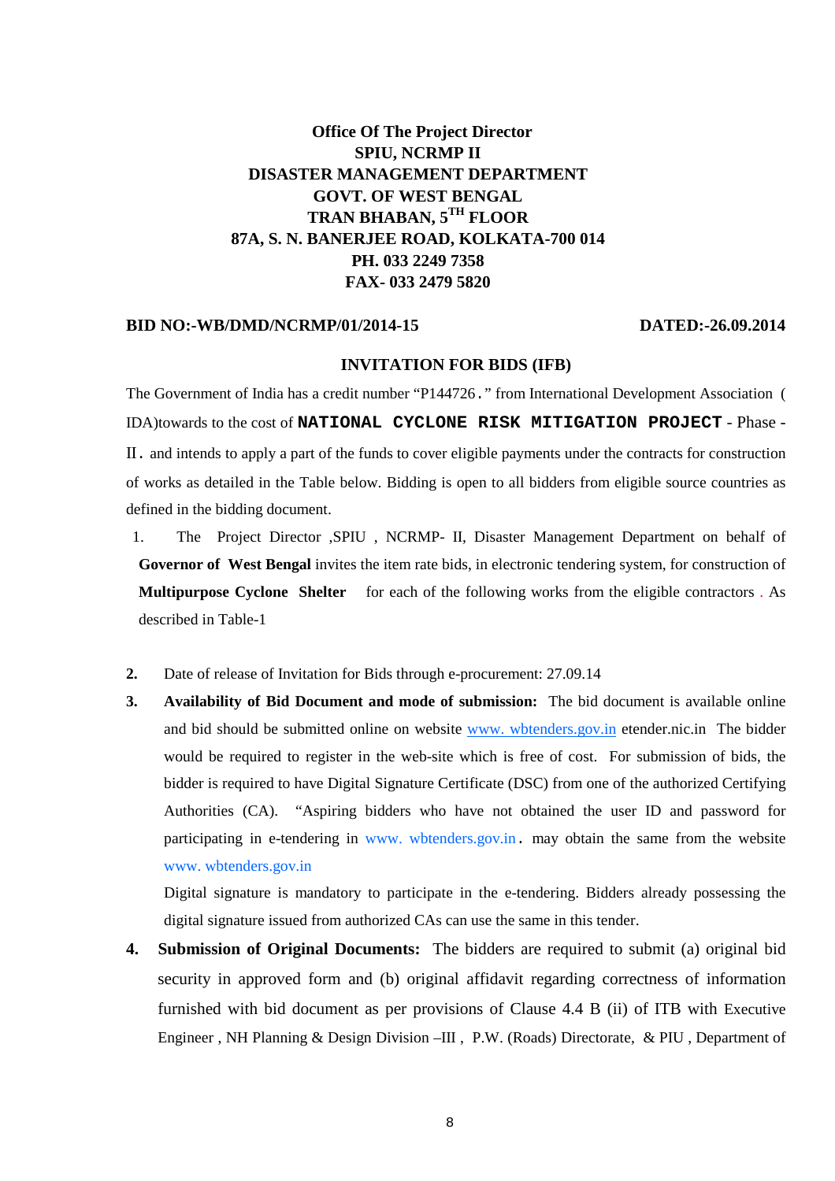# **Office Of The Project Director SPIU, NCRMP II DISASTER MANAGEMENT DEPARTMENT GOVT. OF WEST BENGAL TRAN BHABAN, 5TH FLOOR 87A, S. N. BANERJEE ROAD, KOLKATA-700 014 PH. 033 2249 7358 FAX- 033 2479 5820**

#### **BID NO:-WB/DMD/NCRMP/01/2014-15 DATED:-26.09.2014**

#### **INVITATION FOR BIDS (IFB)**

The Government of India has a credit number "P144726." from International Development Association ( IDA)towards to the cost of **NATIONAL CYCLONE RISK MITIGATION PROJECT** - Phase - II. and intends to apply a part of the funds to cover eligible payments under the contracts for construction of works as detailed in the Table below. Bidding is open to all bidders from eligible source countries as defined in the bidding document.

- 1. The Project Director ,SPIU , NCRMP- II, Disaster Management Department on behalf of **Governor of West Bengal** invites the item rate bids, in electronic tendering system, for construction of **Multipurpose Cyclone Shelter** for each of the following works from the eligible contractors . As described in Table-1
- **2.** Date of release of Invitation for Bids through e-procurement: 27.09.14
- **3. Availability of Bid Document and mode of submission:** The bid document is available online and bid should be submitted online on website www. wbtenders.gov.in etender.nic.in The bidder would be required to register in the web-site which is free of cost. For submission of bids, the bidder is required to have Digital Signature Certificate (DSC) from one of the authorized Certifying Authorities (CA). "Aspiring bidders who have not obtained the user ID and password for participating in e-tendering in www. wbtenders.gov.in. may obtain the same from the website www. wbtenders.gov.in

Digital signature is mandatory to participate in the e-tendering. Bidders already possessing the digital signature issued from authorized CAs can use the same in this tender.

**4. Submission of Original Documents:** The bidders are required to submit (a) original bid security in approved form and (b) original affidavit regarding correctness of information furnished with bid document as per provisions of Clause 4.4 B (ii) of ITB with Executive Engineer , NH Planning & Design Division –III , P.W. (Roads) Directorate, & PIU , Department of